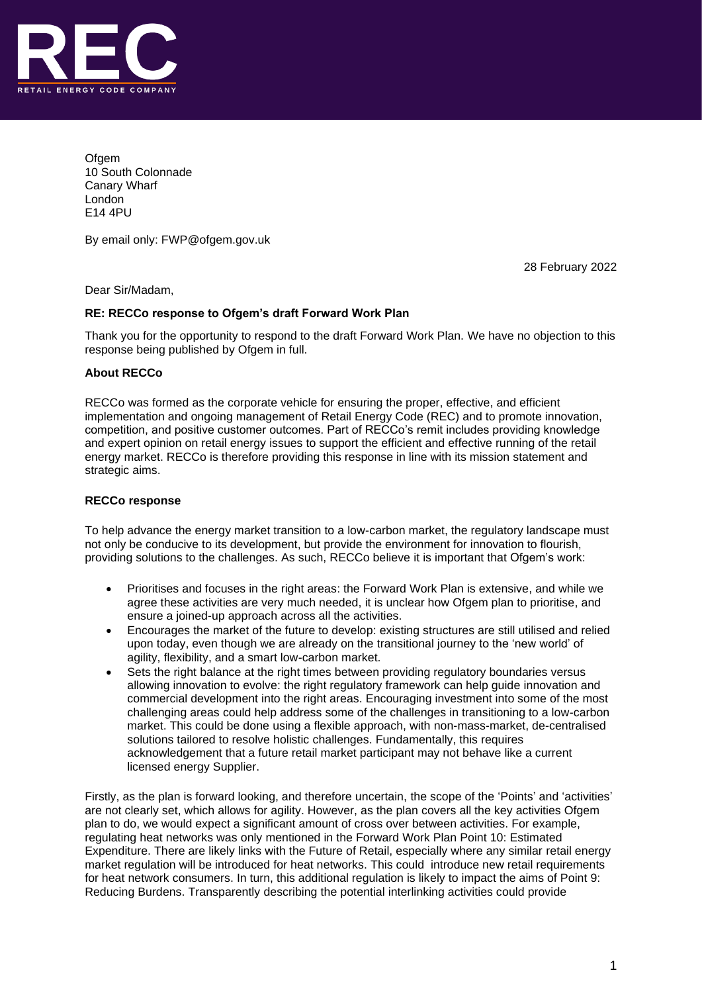

**Ofgem** 10 South Colonnade Canary Wharf London E14 4PU

By email only: FWP@ofgem.gov.uk

28 February 2022

Dear Sir/Madam,

## **RE: RECCo response to Ofgem's draft Forward Work Plan**

Thank you for the opportunity to respond to the draft Forward Work Plan. We have no objection to this response being published by Ofgem in full.

## **About RECCo**

RECCo was formed as the corporate vehicle for ensuring the proper, effective, and efficient implementation and ongoing management of Retail Energy Code (REC) and to promote innovation, competition, and positive customer outcomes. Part of RECCo's remit includes providing knowledge and expert opinion on retail energy issues to support the efficient and effective running of the retail energy market. RECCo is therefore providing this response in line with its mission statement and strategic aims.

## **RECCo response**

To help advance the energy market transition to a low-carbon market, the regulatory landscape must not only be conducive to its development, but provide the environment for innovation to flourish, providing solutions to the challenges. As such, RECCo believe it is important that Ofgem's work:

- Prioritises and focuses in the right areas: the Forward Work Plan is extensive, and while we agree these activities are very much needed, it is unclear how Ofgem plan to prioritise, and ensure a joined-up approach across all the activities.
- Encourages the market of the future to develop: existing structures are still utilised and relied upon today, even though we are already on the transitional journey to the 'new world' of agility, flexibility, and a smart low-carbon market.
- Sets the right balance at the right times between providing regulatory boundaries versus allowing innovation to evolve: the right regulatory framework can help guide innovation and commercial development into the right areas. Encouraging investment into some of the most challenging areas could help address some of the challenges in transitioning to a low-carbon market. This could be done using a flexible approach, with non-mass-market, de-centralised solutions tailored to resolve holistic challenges. Fundamentally, this requires acknowledgement that a future retail market participant may not behave like a current licensed energy Supplier.

Firstly, as the plan is forward looking, and therefore uncertain, the scope of the 'Points' and 'activities' are not clearly set, which allows for agility. However, as the plan covers all the key activities Ofgem plan to do, we would expect a significant amount of cross over between activities. For example, regulating heat networks was only mentioned in the Forward Work Plan Point 10: Estimated Expenditure. There are likely links with the Future of Retail, especially where any similar retail energy market regulation will be introduced for heat networks. This could introduce new retail requirements for heat network consumers. In turn, this additional regulation is likely to impact the aims of Point 9: Reducing Burdens. Transparently describing the potential interlinking activities could provide